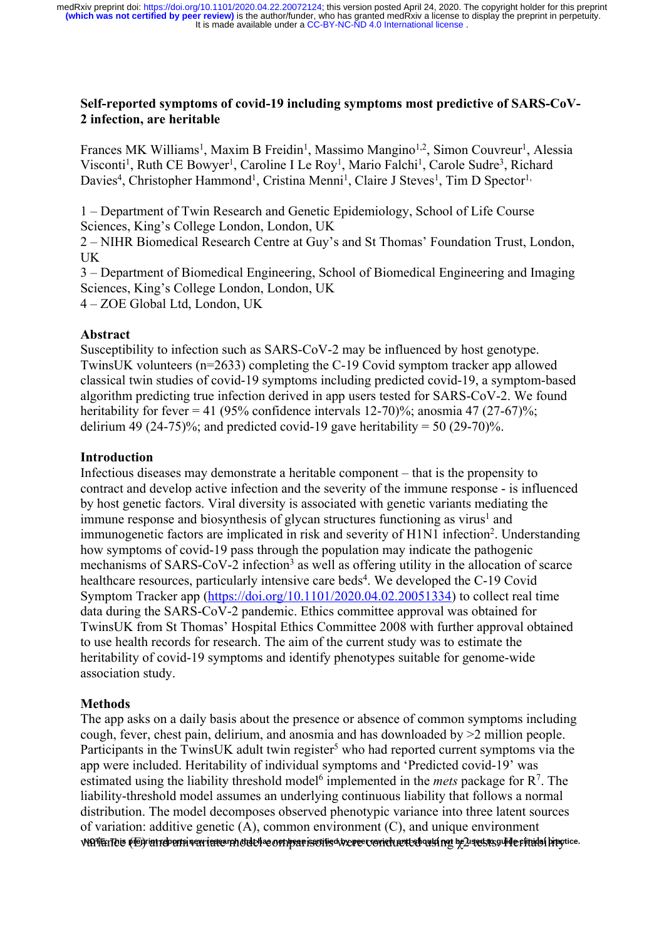### **Self-reported symptoms of covid-19 including symptoms most predictive of SARS-CoV-2 infection, are heritable**

Frances MK Williams<sup>1</sup>, Maxim B Freidin<sup>1</sup>, Massimo Mangino<sup>1,2</sup>, Simon Couvreur<sup>1</sup>, Alessia Visconti<sup>1</sup>, Ruth CE Bowyer<sup>1</sup>, Caroline I Le Roy<sup>1</sup>, Mario Falchi<sup>1</sup>, Carole Sudre<sup>3</sup>, Richard Davies<sup>4</sup>, Christopher Hammond<sup>1</sup>, Cristina Menni<sup>1</sup>, Claire J Steves<sup>1</sup>, Tim D Spector<sup>1,</sup>

1 – Department of Twin Research and Genetic Epidemiology, School of Life Course Sciences, King's College London, London, UK

2 – NIHR Biomedical Research Centre at Guy's and St Thomas' Foundation Trust, London, UK

3 – Department of Biomedical Engineering, School of Biomedical Engineering and Imaging Sciences, King's College London, London, UK

4 – ZOE Global Ltd, London, UK

#### **Abstract**

Susceptibility to infection such as SARS-CoV-2 may be influenced by host genotype. TwinsUK volunteers (n=2633) completing the C-19 Covid symptom tracker app allowed classical twin studies of covid-19 symptoms including predicted covid-19, a symptom-based algorithm predicting true infection derived in app users tested for SARS-CoV-2. We found heritability for fever = 41 (95% confidence intervals 12-70)%; anosmia 47 (27-67)%; delirium 49 (24-75)%; and predicted covid-19 gave heritability = 50 (29-70)%.

#### **Introduction**

Infectious diseases may demonstrate a heritable component – that is the propensity to contract and develop active infection and the severity of the immune response - is influenced by host genetic factors. Viral diversity is associated with genetic variants mediating the immune response and biosynthesis of glycan structures functioning as virus<sup>1</sup> and immunogenetic factors are implicated in risk and severity of H1N1 infection<sup>2</sup>. Understanding how symptoms of covid-19 pass through the population may indicate the pathogenic mechanisms of SARS-CoV-2 infection<sup>3</sup> as well as offering utility in the allocation of scarce healthcare resources, particularly intensive care beds<sup>4</sup>. We developed the C-19 Covid Symptom Tracker app (https://doi.org/10.1101/2020.04.02.20051334) to collect real time data during the SARS-CoV-2 pandemic. Ethics committee approval was obtained for TwinsUK from St Thomas' Hospital Ethics Committee 2008 with further approval obtained to use health records for research. The aim of the current study was to estimate the heritability of covid-19 symptoms and identify phenotypes suitable for genome-wide association study.

### **Methods**

The app asks on a daily basis about the presence or absence of common symptoms including cough, fever, chest pain, delirium, and anosmia and has downloaded by >2 million people. Participants in the TwinsUK adult twin register<sup>5</sup> who had reported current symptoms via the app were included. Heritability of individual symptoms and 'Predicted covid-19' was estimated using the liability threshold model<sup>6</sup> implemented in the *mets* package for  $\mathbb{R}^7$ . The liability-threshold model assumes an underlying continuous liability that follows a normal distribution. The model decomposes observed phenotypic variance into three latent sources of variation: additive genetic (A), common environment (C), and unique environment vlATEiTois (iE)riatrebertniven ieses rhotdeliae orthparisovilis overes corietuevte housings be $2$ usestas ulide fiitidal brectice.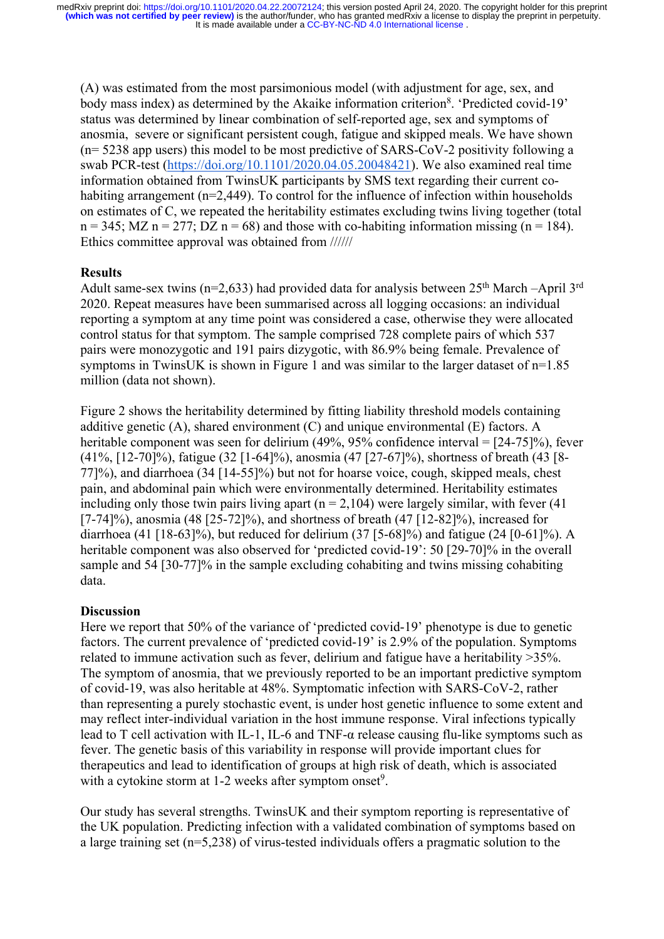(A) was estimated from the most parsimonious model (with adjustment for age, sex, and body mass index) as determined by the Akaike information criterion<sup>8</sup>. 'Predicted covid-19' status was determined by linear combination of self-reported age, sex and symptoms of anosmia, severe or significant persistent cough, fatigue and skipped meals. We have shown (n= 5238 app users) this model to be most predictive of SARS-CoV-2 positivity following a swab PCR-test (https://doi.org/10.1101/2020.04.05.20048421). We also examined real time information obtained from TwinsUK participants by SMS text regarding their current cohabiting arrangement (n=2,449). To control for the influence of infection within households on estimates of C, we repeated the heritability estimates excluding twins living together (total  $n = 345$ ; MZ  $n = 277$ ; DZ  $n = 68$ ) and those with co-habiting information missing ( $n = 184$ ). Ethics committee approval was obtained from //////

#### **Results**

Adult same-sex twins ( $n=2,633$ ) had provided data for analysis between 25<sup>th</sup> March –April 3<sup>rd</sup> 2020. Repeat measures have been summarised across all logging occasions: an individual reporting a symptom at any time point was considered a case, otherwise they were allocated control status for that symptom. The sample comprised 728 complete pairs of which 537 pairs were monozygotic and 191 pairs dizygotic, with 86.9% being female. Prevalence of symptoms in TwinsUK is shown in Figure 1 and was similar to the larger dataset of n=1.85 million (data not shown).

Figure 2 shows the heritability determined by fitting liability threshold models containing additive genetic (A), shared environment (C) and unique environmental (E) factors. A heritable component was seen for delirium (49%, 95% confidence interval = [24-75]%), fever (41%, [12-70]%), fatigue (32 [1-64]%), anosmia (47 [27-67]%), shortness of breath (43 [8- 77]%), and diarrhoea (34 [14-55]%) but not for hoarse voice, cough, skipped meals, chest pain, and abdominal pain which were environmentally determined. Heritability estimates including only those twin pairs living apart  $(n = 2,104)$  were largely similar, with fever (41) [7-74]%), anosmia (48 [25-72]%), and shortness of breath (47 [12-82]%), increased for diarrhoea (41 [18-63]%), but reduced for delirium (37 [5-68]%) and fatigue (24 [0-61]%). A heritable component was also observed for 'predicted covid-19': 50 [29-70]% in the overall sample and 54 [30-77]% in the sample excluding cohabiting and twins missing cohabiting data.

#### **Discussion**

Here we report that 50% of the variance of 'predicted covid-19' phenotype is due to genetic factors. The current prevalence of 'predicted covid-19' is 2.9% of the population. Symptoms related to immune activation such as fever, delirium and fatigue have a heritability >35%. The symptom of anosmia, that we previously reported to be an important predictive symptom of covid-19, was also heritable at 48%. Symptomatic infection with SARS-CoV-2, rather than representing a purely stochastic event, is under host genetic influence to some extent and may reflect inter-individual variation in the host immune response. Viral infections typically lead to T cell activation with IL-1, IL-6 and TNF-α release causing flu-like symptoms such as fever. The genetic basis of this variability in response will provide important clues for therapeutics and lead to identification of groups at high risk of death, which is associated with a cytokine storm at 1-2 weeks after symptom onset<sup>9</sup>.

Our study has several strengths. TwinsUK and their symptom reporting is representative of the UK population. Predicting infection with a validated combination of symptoms based on a large training set (n=5,238) of virus-tested individuals offers a pragmatic solution to the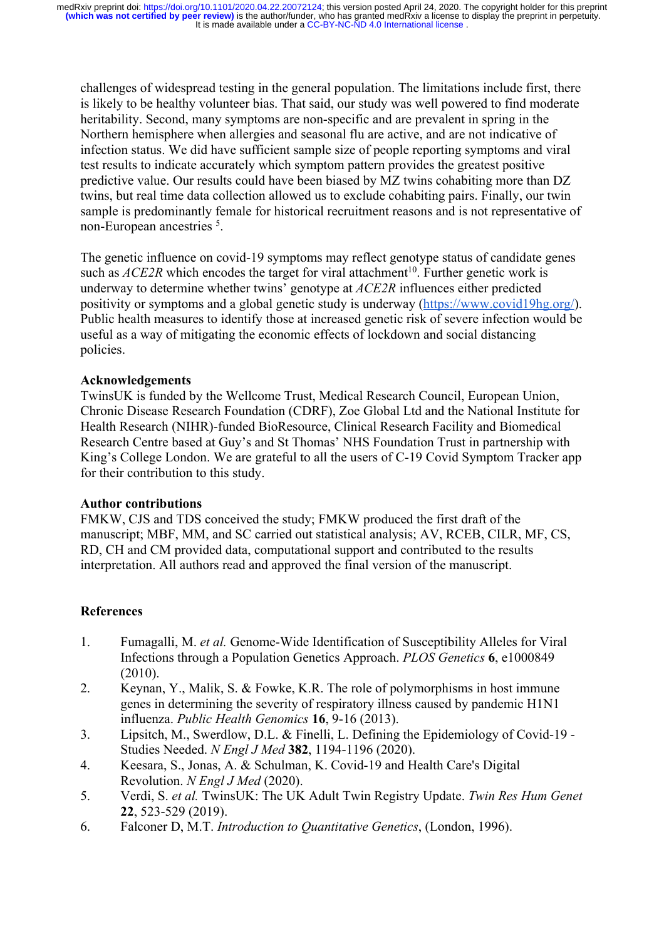challenges of widespread testing in the general population. The limitations include first, there is likely to be healthy volunteer bias. That said, our study was well powered to find moderate heritability. Second, many symptoms are non-specific and are prevalent in spring in the Northern hemisphere when allergies and seasonal flu are active, and are not indicative of infection status. We did have sufficient sample size of people reporting symptoms and viral test results to indicate accurately which symptom pattern provides the greatest positive predictive value. Our results could have been biased by MZ twins cohabiting more than DZ twins, but real time data collection allowed us to exclude cohabiting pairs. Finally, our twin sample is predominantly female for historical recruitment reasons and is not representative of non-European ancestries <sup>5</sup>.

The genetic influence on covid-19 symptoms may reflect genotype status of candidate genes such as  $ACE2R$  which encodes the target for viral attachment<sup>10</sup>. Further genetic work is underway to determine whether twins' genotype at *ACE2R* influences either predicted positivity or symptoms and a global genetic study is underway (https://www.covid19hg.org/). Public health measures to identify those at increased genetic risk of severe infection would be useful as a way of mitigating the economic effects of lockdown and social distancing policies.

# **Acknowledgements**

TwinsUK is funded by the Wellcome Trust, Medical Research Council, European Union, Chronic Disease Research Foundation (CDRF), Zoe Global Ltd and the National Institute for Health Research (NIHR)-funded BioResource, Clinical Research Facility and Biomedical Research Centre based at Guy's and St Thomas' NHS Foundation Trust in partnership with King's College London. We are grateful to all the users of C-19 Covid Symptom Tracker app for their contribution to this study.

### **Author contributions**

FMKW, CJS and TDS conceived the study; FMKW produced the first draft of the manuscript; MBF, MM, and SC carried out statistical analysis; AV, RCEB, CILR, MF, CS, RD, CH and CM provided data, computational support and contributed to the results interpretation. All authors read and approved the final version of the manuscript.

### **References**

- 1. Fumagalli, M. *et al.* Genome-Wide Identification of Susceptibility Alleles for Viral Infections through a Population Genetics Approach. *PLOS Genetics* **6**, e1000849 (2010).
- 2. Keynan, Y., Malik, S. & Fowke, K.R. The role of polymorphisms in host immune genes in determining the severity of respiratory illness caused by pandemic H1N1 influenza. *Public Health Genomics* **16**, 9-16 (2013).
- 3. Lipsitch, M., Swerdlow, D.L. & Finelli, L. Defining the Epidemiology of Covid-19 Studies Needed. *N Engl J Med* **382**, 1194-1196 (2020).
- 4. Keesara, S., Jonas, A. & Schulman, K. Covid-19 and Health Care's Digital Revolution. *N Engl J Med* (2020).
- 5. Verdi, S. *et al.* TwinsUK: The UK Adult Twin Registry Update. *Twin Res Hum Genet* **22**, 523-529 (2019).
- 6. Falconer D, M.T. *Introduction to Quantitative Genetics*, (London, 1996).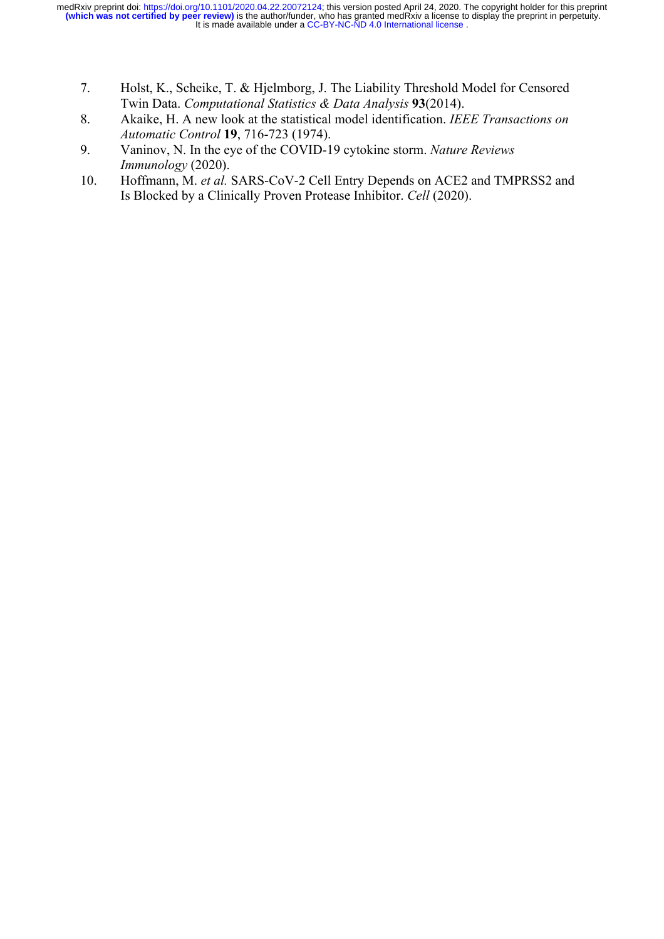- 7. Holst, K., Scheike, T. & Hjelmborg, J. The Liability Threshold Model for Censored Twin Data. *Computational Statistics & Data Analysis* **93**(2014).
- 8. Akaike, H. A new look at the statistical model identification. *IEEE Transactions on Automatic Control* **19**, 716-723 (1974).
- 9. Vaninov, N. In the eye of the COVID-19 cytokine storm. *Nature Reviews Immunology* (2020).
- 10. Hoffmann, M. *et al.* SARS-CoV-2 Cell Entry Depends on ACE2 and TMPRSS2 and Is Blocked by a Clinically Proven Protease Inhibitor. *Cell* (2020).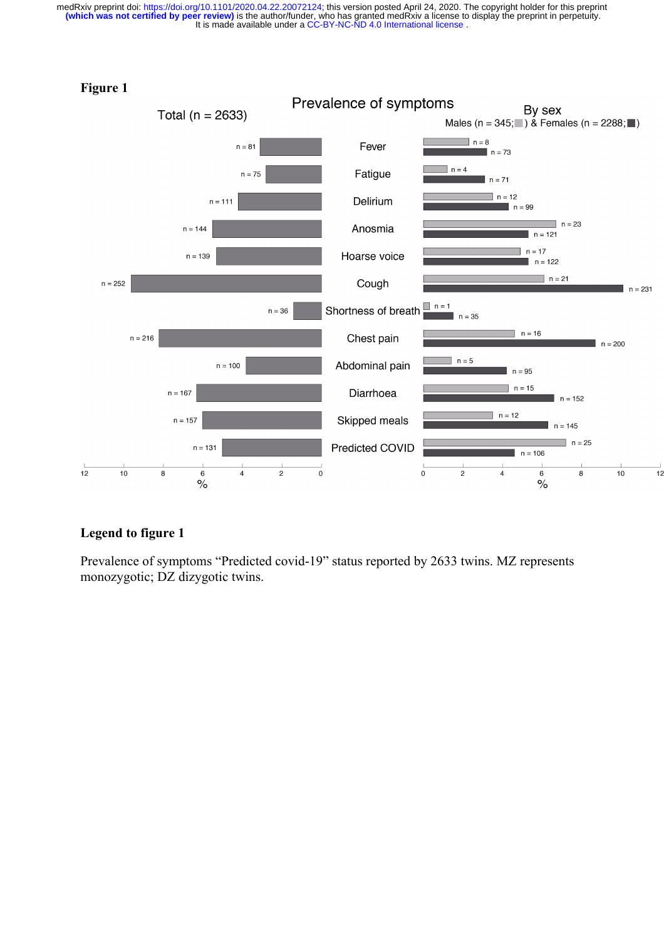

 $12$ 

# **Legend to figure 1**

Prevalence of symptoms "Predicted covid-19" status reported by 2633 twins. MZ represents monozygotic; DZ dizygotic twins.

#### **Figure 1**